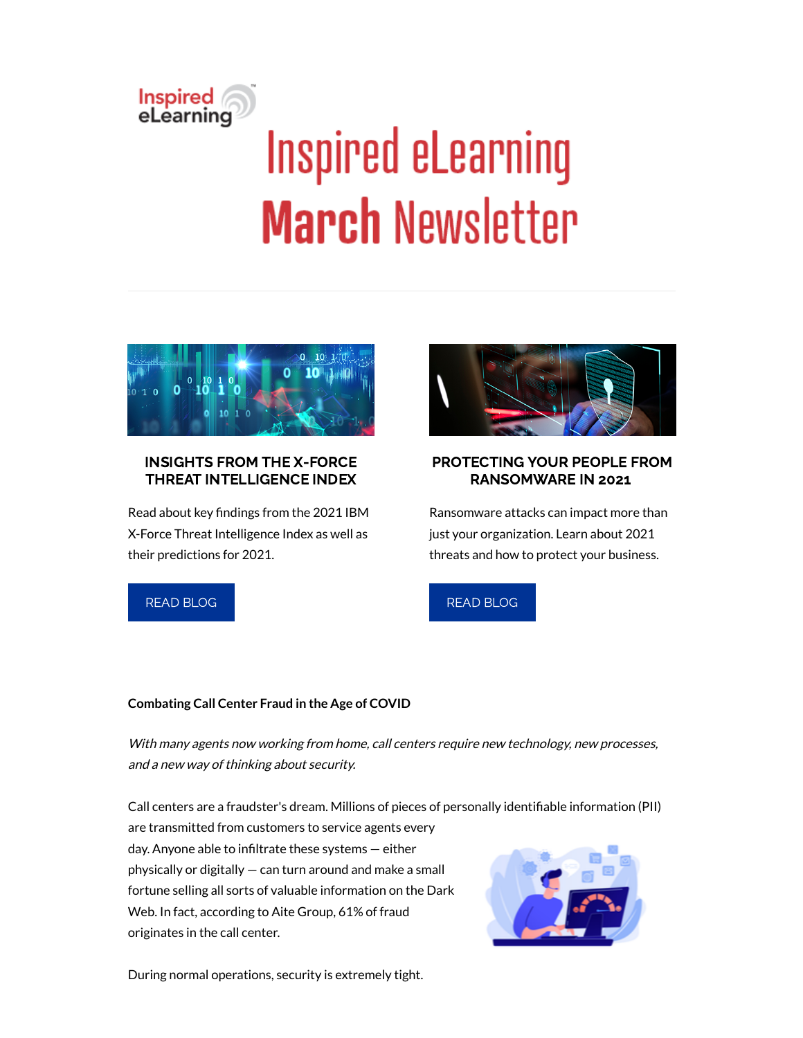# Inspired<br>eLearning **Inspired eLearning March Newsletter**



# INSIGHTS FROM THE X-FORCE THREAT INTELLIGENCE INDEX

Read about key findings from the 2021 IBM X-Force Threat Intelligence Index as well as their predictions for 2021.



# PROTECTING YOUR PEOPLE FROM RANSOMWARE IN 2021

Ransomware attacks can impact more than just your organization. Learn about 2021 threats and how to protect your business.

# READ [BLOG](https://inspiredelearning.com/blog/insights-from-the-ibm-x-force-threat-intelligence-index-2021/?utm_source=marketo)



## **Combating Call Center Fraud in the Age of COVID**

With many agents now working from home, call centers require new technology, new processes, and <sup>a</sup> new way of thinking about security.

Call centers are a fraudster's dream. Millions of pieces of personally identifiable information (PII)

are transmitted from customers to service agents every day. Anyone able to infiltrate these systems - either physically or digitally — can turn around and make a small fortune selling all sorts of valuable information on the Dark Web. In fact, according to Aite Group, 61% of fraud originates in the call center.



During normal operations, security is extremely tight.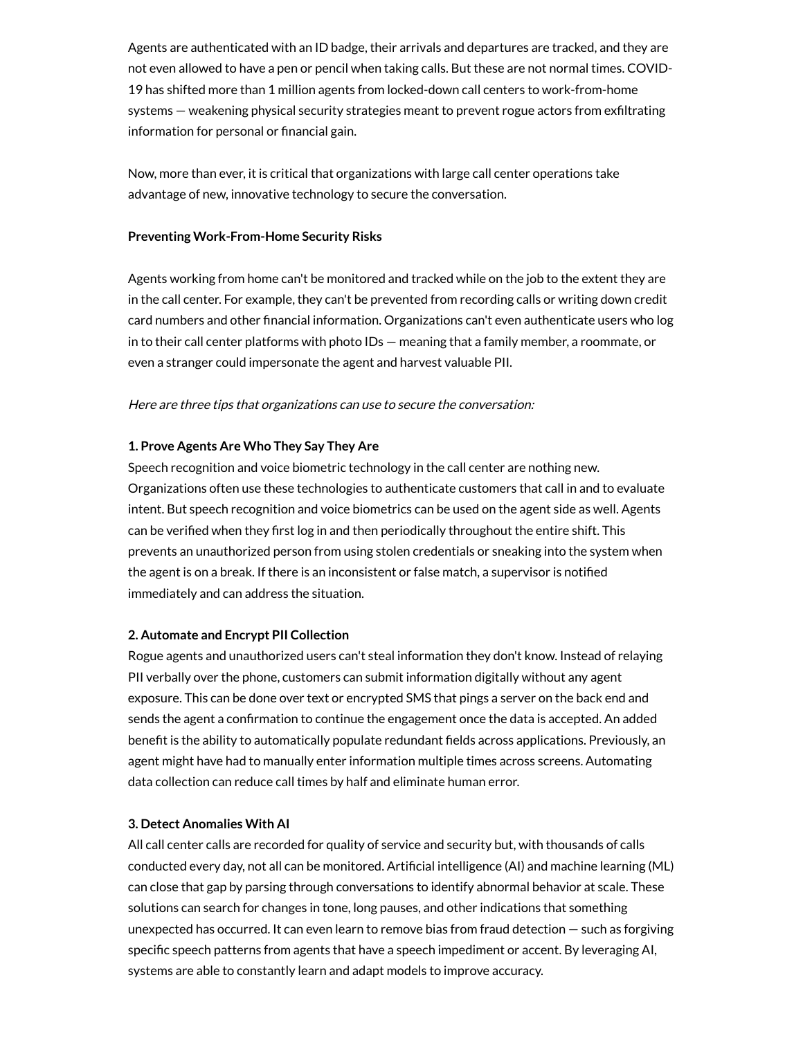Agents are authenticated with an ID badge, their arrivals and departures are tracked, and they are not even allowed to have a pen or pencil when taking calls. But these are not normal times. COVID-19 has shifted more than 1 million agents from locked-down call centers to work-from-home systems – weakening physical security strategies meant to prevent rogue actors from exfiltrating information for personal or financial gain.

Now, more than ever, it is critical that organizations with large call center operations take advantage of new, innovative technology to secure the conversation.

#### **Preventing Work-From-Home Security Risks**

Agents working from home can't be monitored and tracked while on the job to the extent they are in the call center. For example, they can't be prevented from recording calls or writing down credit card numbers and other financial information. Organizations can't even authenticate users who log in to their call center platforms with photo IDs — meaning that a family member, a roommate, or even a stranger could impersonate the agent and harvest valuable PII.

#### Here are three tips that organizations can use to secure the conversation:

#### **1. Prove Agents Are Who They Say They Are**

Speech recognition and voice biometric technology in the call center are nothing new. Organizations often use these technologies to authenticate customers that call in and to evaluate intent. But speech recognition and voice biometrics can be used on the agent side as well. Agents can be verified when they first log in and then periodically throughout the entire shift. This prevents an unauthorized person from using stolen credentials or sneaking into the system when the agent is on a break. If there is an inconsistent or false match, a supervisor is notified immediately and can address the situation.

#### **2. Automate and Encrypt PII Collection**

Rogue agents and unauthorized users can't steal information they don't know. Instead of relaying PII verbally over the phone, customers can submit information digitally without any agent exposure. This can be done over text or encrypted SMS that pings a server on the back end and sends the agent a confirmation to continue the engagement once the data is accepted. An added benefit is the ability to automatically populate redundant fields across applications. Previously, an agent might have had to manually enter information multiple times across screens. Automating data collection can reduce call times by half and eliminate human error.

#### **3. Detect Anomalies With AI**

All call center calls are recorded for quality of service and security but, with thousands of calls conducted every day, not all can be monitored. Artificial intelligence (AI) and machine learning (ML) can close that gap by parsing through conversations to identify abnormal behavior at scale. These solutions can search for changes in tone, long pauses, and other indications that something unexpected has occurred. It can even learn to remove bias from fraud detection — such as forgiving specific speech patterns from agents that have a speech impediment or accent. By leveraging AI, systems are able to constantly learn and adapt models to improve accuracy.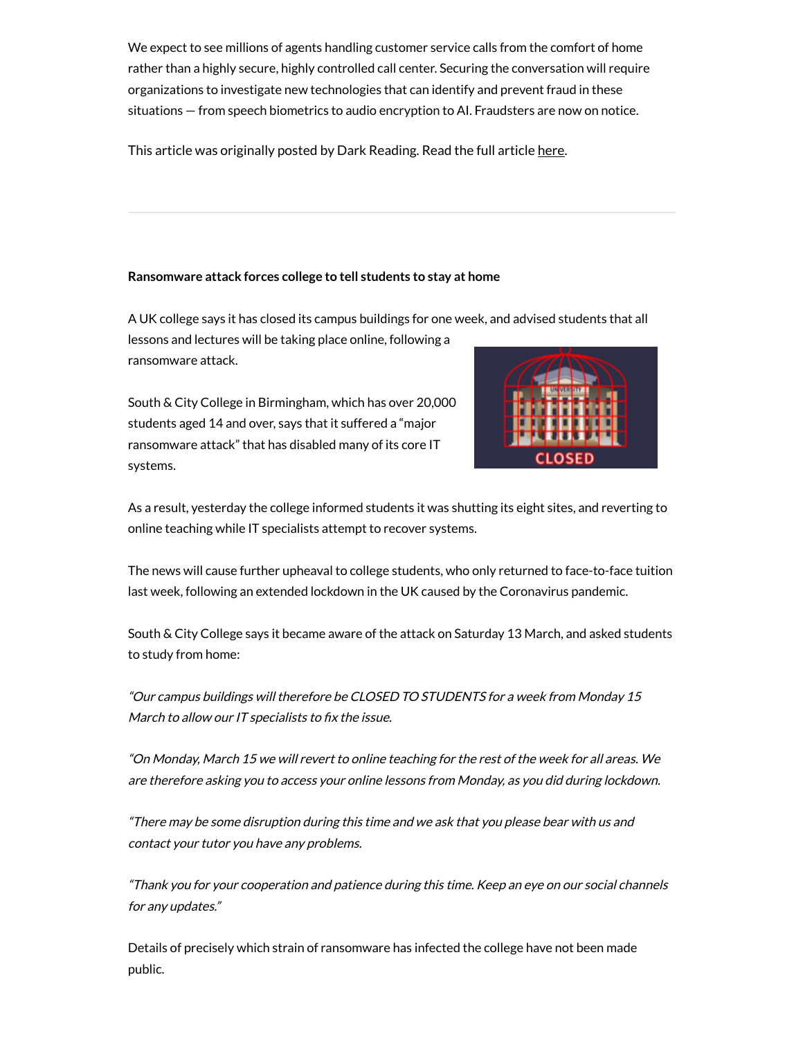We expect to see millions of agents handling customer service calls from the comfort of home rather than a highly secure, highly controlled call center. Securing the conversation will require organizations to investigate new technologies that can identify and prevent fraud in these situations — from speech biometrics to audio encryption to AI. Fraudsters are now on notice.

This article was originally posted by Dark Reading. Read the full article [here](https://www.darkreading.com/risk/combating-call-center-fraud-in-the-age-of-covid/a/d-id/1340345).

#### **Ransomware attack forces college to tell students to stay at home**

A UK college says it has closed its campus buildings for one week, and advised students that all lessons and lectures will be taking place online, following a

ransomware attack.

South & City College in Birmingham, which has over 20,000 students aged 14 and over, says that it suffered a "major ransomware attack" that has disabled many of its core IT systems.



As a result, yesterday the college informed students it was shutting its eight sites, and reverting to online teaching while IT specialists attempt to recover systems.

The news will cause further upheaval to college students, who only returned to face-to-face tuition last week, following an extended lockdown in the UK caused by the Coronavirus pandemic.

South & City College says it became aware of the attack on Saturday 13 March, and asked students to study from home:

"Our campus buildings will therefore be CLOSED TO STUDENTS for <sup>a</sup> week from Monday 15 March to allow our IT specialists to fix the issue.

"On Monday, March 15 we will revert to online teaching for the rest of the week for all areas. We are therefore asking you to access your online lessons from Monday, as you did during lockdown.

"There may be some disruption during this time and we ask that you please bear with us and contact your tutor you have any problems.

"Thank you for your cooperation and patience during this time. Keep an eye on our social channels for any updates."

Details of precisely which strain of ransomware has infected the college have not been made public.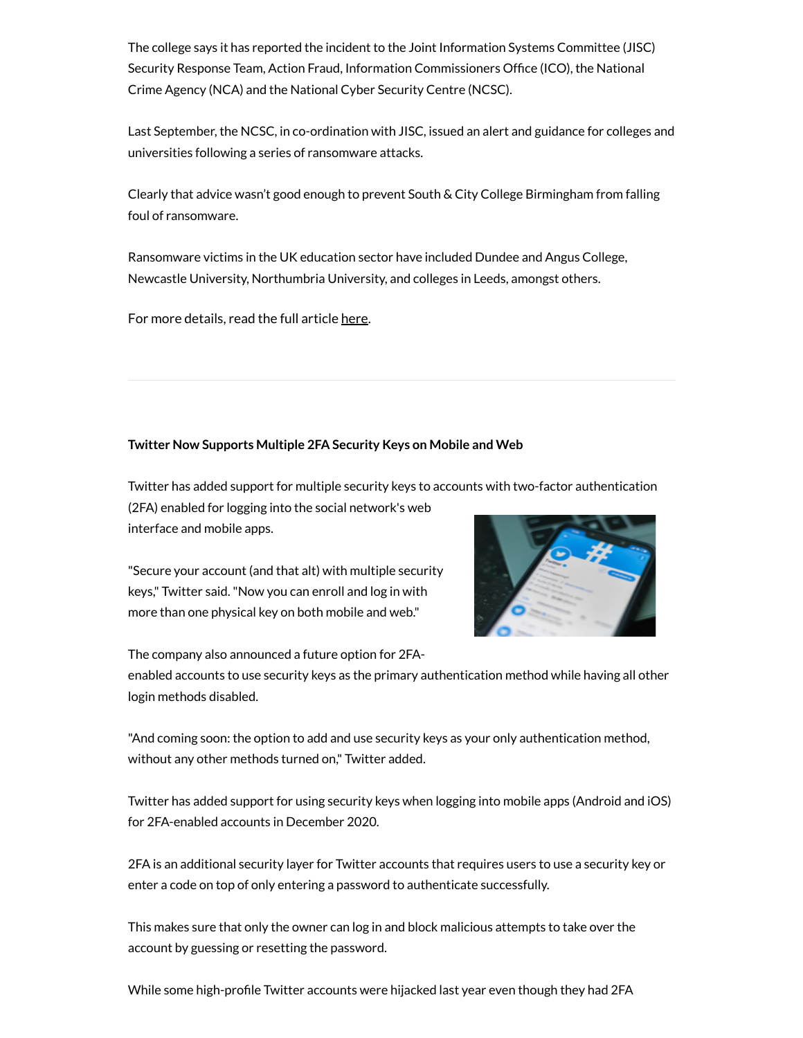The college says it has reported the incident to the Joint Information Systems Committee (JISC) Security Response Team, Action Fraud, Information Commissioners Office (ICO), the National Crime Agency (NCA) and the National Cyber Security Centre (NCSC).

Last September, the NCSC, in co-ordination with JISC, issued an alert and guidance for colleges and universities following a series of ransomware attacks.

Clearly that advice wasn't good enough to prevent South & City College Birmingham from falling foul of ransomware.

Ransomware victims in the UK education sector have included Dundee and Angus College, Newcastle University, Northumbria University, and colleges in Leeds, amongst others.

For more details, read the full article [here.](https://grahamcluley.com/ransomware-attack-forces-college-to-tell-students-to-stay-at-home/)

### **Twitter Now Supports Multiple 2FA Security Keys on Mobile and Web**

Twitter has added support for multiple security keys to accounts with two-factor authentication

(2FA) enabled for logging into the social network's web interface and mobile apps.

"Secure your account (and that alt) with multiple security keys," Twitter said."Now you can enroll and log in with more than one physical key on both mobile and web."

The company also announced a future option for 2FA-



enabled accounts to use security keys as the primary authentication method while having all other login methods disabled.

"And coming soon: the option to add and use security keys as your only authentication method, without any other methods turned on," Twitter added.

Twitter has added support for using security keys when logging into mobile apps (Android and iOS) for 2FA-enabled accounts in December 2020.

2FA is an additional security layer for Twitter accounts that requires users to use a security key or enter a code on top of only entering a password to authenticate successfully.

This makes sure that only the owner can log in and block malicious attempts to take over the account by guessing or resetting the password.

While some high-profile Twitter accounts were hijacked last year even though they had 2FA